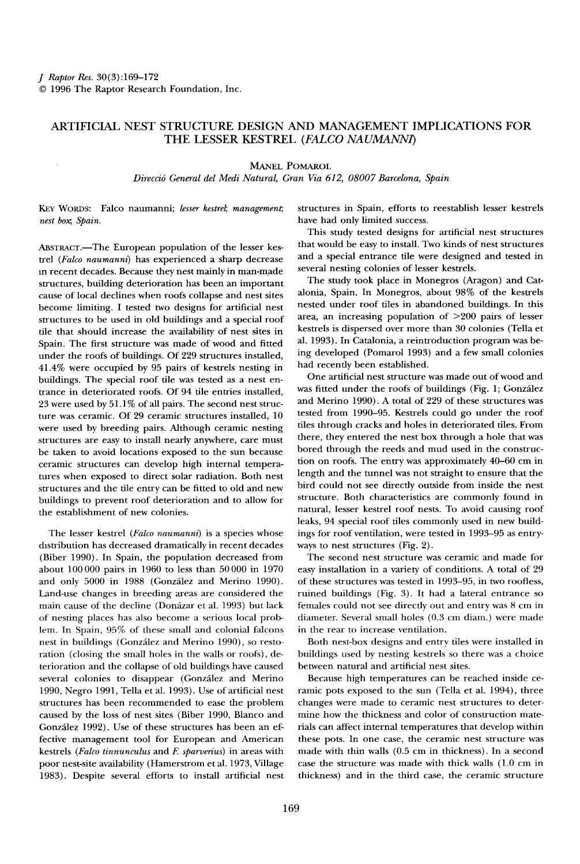## **ARTIFICIAL NEST STRUCTURE DESIGN AND MANAGEMENT IMPLICATIONS FOR THE LESSER KESTREL (FALCO NAUMANN1)**

**MANEL POMAROL** 

**Direcci5 General del Medi Natural, Gran Via 612, 08007 Barcelona, Spain** 

KEY WORDS: Falco naumanni; lesser kestrel; management; **nest box;, Spain.** 

ABSTRACT.-The European population of the lesser kes**trel (Falco naumanni) has experienced a sharp decrease m recent decades. Because they nest mainly in man-made structures, building deterioration has been an important cause of local declines when roofs collapse and nest sites become limiting. I tested two designs for artificial nest structures to be used in old buildings and a special roof tile that should increase the availability of nest sites in Spain. The first structure was made of wood and fitted under the roofs of buildings. Of 229 structures installed, 41.4% were occupied by 95 pairs of kestrels nesting in buildings. The special roof tile was tested as a nest entrance in deteriorated roofs. Of 94 tile entries installed, 23 were used by 51.1% of all pairs. The second nest structure was ceramic. Of 29 ceramic structures installed, 10 were used by breeding pairs. Although ceramic nesting structures are easy to install nearly anywhere, care must be taken to avoid locations exposed to the sun because ceramic structures can develop high internal temperatures when exposed to direct solar radiation. Both nest structures and the tile entry can be fitted to old and new buildings to prevent roof deterioration and to allow for the establishment of new colonies.** 

**The lesser kestrel (Falco naumanni) is a species whose distribution has decreased dramatically in recent decades (Biber 1990). In Spain, the population decreased from about 100000 pairs in 1960 to less than 50000 in 1970**  and only 5000 in 1988 (González and Merino 1990). **Land-use changes in breeding areas are considered the**  main cause of the decline (Donázar et al. 1993) but lack **of nesting places has also become a serious local problem. In Spain, 95% of these small and colonial falcons**  nest in buildings (González and Merino 1990), so resto**ration (closing the small holes in the walls or roofs), deterioration and the collapse of old buildings have caused**  several colonies to disappear (González and Merino **1990, Negro 1991, Tella et al. 1993). Use of artificial nest structures has been recommended to ease the problem caused by the loss of nest sites (Biber 1990, Blanco and**  González 1992). Use of these structures has been an ef**fective management tool for European and American**  kestrels (Falco tinnunculus and F. sparverius) in areas with **poor nest-site availability (Hamerstrom et al. 1973, Village 1983). Despite several efforts to install artificial nest**  **structures in Spain, efforts to reestablish lesser kestrels have had only limited success.** 

**This study tested designs for artificial nest structures that would be easy to install. Two kinds of nest structures and a special entrance tile were designed and tested in several nesting colonies of lesser kestrels.** 

**The study took place in Monegros (Aragon) and Catalonia, Spain. In Monegros, about 98% of the kestrels nested under roof files in abandoned buildings. In this area, an increasing population of >200 pairs of lesser kestrels is dispersed over more than 30 colonies (Tella et al. 1993). In Catalonia, a reintroduction program was being developed (Pomarol 1993) and a few small colonies had recently been established.** 

**One artificial nest structure was made out of wood and**  was fitted under the roofs of buildings (Fig. 1; González **and Merino 1990). A total of 229 of these structures was tested from 1990-95. Kestrels could go under the roof files through cracks and holes in deteriorated files. From there, they entered the nest box through a hole that was bored through the reeds and mud used in the construction on roofs. The entry was approximately 40-60 cm in length and the tunnel was not straight to ensure that the bird could not see directly outside from inside the nest structure. Both characteristics are commonly found in natural, lesser kestrel roof nests. To avoid causing roof leaks, 94 special roof tiles commonly used in new buildings for roof ventilation, were tested in 1993-95 as entryways to nest structures (Fig. 2).** 

**The second nest structure was ceramic and made for easy installation in a variety of conditions. A total of 29 of these structures was tested in 1993-95, in two roofless, ruined buildings (Fig. 3). It had a lateral entrance so females could not see directly out and entry was 8 cm in diameter. Several small holes (0.3 cm diam.) were made in the rear to increase ventilation.** 

**Both nest-box designs and entry tiles were installed in buildings used by nesting kestrels so there was a choice between natural and artificial nest sites.** 

**Because high temperatures can be reached inside ceramic pots exposed to the sun (Tella et al. 1994), three changes were made to ceramic nest structures to determine how the thickness and color of construction materials can affect internal temperatures that develop within these pots. In one case, the ceramic nest structure was made with thin walls (0.5 cm in thickness). In a second case the structure was made with thick walls (1.0 cm in thickness) and in the third case, the ceramic structure**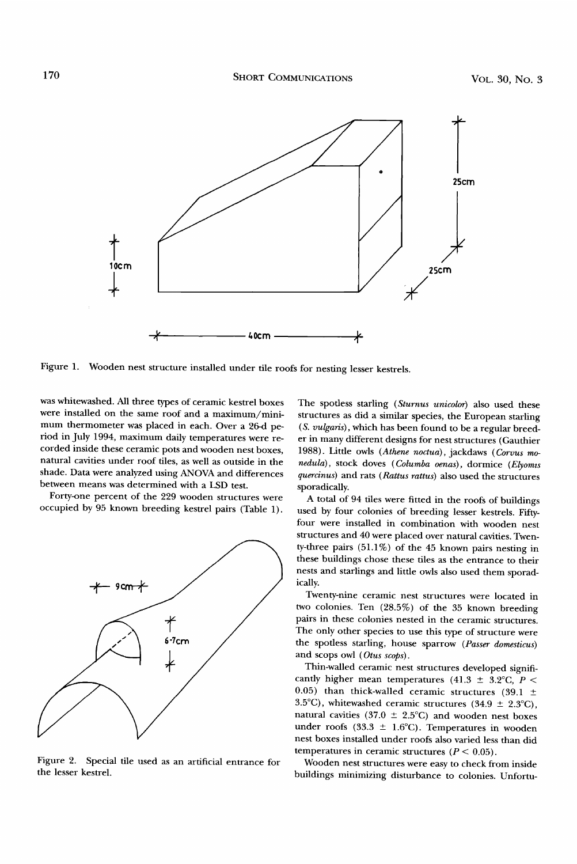

Figure 1. Wooden nest structure installed under tile roofs for nesting lesser kestrels.

**was whitewashed. All three types of ceramic kestrel boxes were installed on the same roof and a maximum/minimum thermometer was placed in each. Over a 26-d period in July 1994, maximum daily temperatures were recorded inside these ceramic pots and wooden nest boxes, natural cavities under roof files, as well as outside in the shade. Data were analyzed using ANOVA and differences between means was determined with a LSD test.** 

**Forty-one percent of the 229 wooden structures were occupied by 95 known breeding kestrel pairs (Table 1).** 



**Figure 2. Special tile used as an artificial entrance for the lesser kestrel.** 

**The spotless starling (Sturnus unicolor) also used these structures as did a similar species, the European starling (S. vulgaris), which has been found to be a regular breeder in many different designs for nest structures (Gauthier 1988). Litde owls (Athene noctua), jackdaws (Corvus mo**nedula), stock doves (Columba oenas), dormice (Elyomis **quercinus) and rats (Rattus rattus) also used the structures sporadically.** 

**A total of 94 files were fitted in the roofs of buildings used by four colonies of breeding lesser kestrels. Fiftyfour were installed in combination with wooden nest structures and 40 were placed over natural cavities. Twen-W-three pairs (51.1%) of the 45 known pairs nesting in these buildings chose these files as the entrance to their nests and starlings and litde owls also used them sporadically.** 

**Twenty-nine ceramic nest structures were located in two colonies. Ten (28.5%) of the 35 known breeding pairs in these colonies nested in the ceramic structures. The only other species to use this type of structure were the spotlesstarling, house sparrow (Passer domesticus) and scops owl (Otus scops).** 

**Thin-walled ceramic nest structures developed signifi**cantly higher mean temperatures (41.3  $\pm$  3.2°C, P < 0.05) than thick-walled ceramic structures (39.1  $\pm$ 3.5°C), whitewashed ceramic structures  $(34.9 \pm 2.3^{\circ}C)$ , natural cavities (37.0  $\pm$  2.5°C) and wooden nest boxes under roofs (33.3  $\pm$  1.6°C). Temperatures in wooden **nest boxes installed under roofs also varied less than did**  temperatures in ceramic structures  $(P < 0.05)$ .

**Wooden nest structures were easy to check from inside buildings minimizing disturbance to colonies. Unfortu-**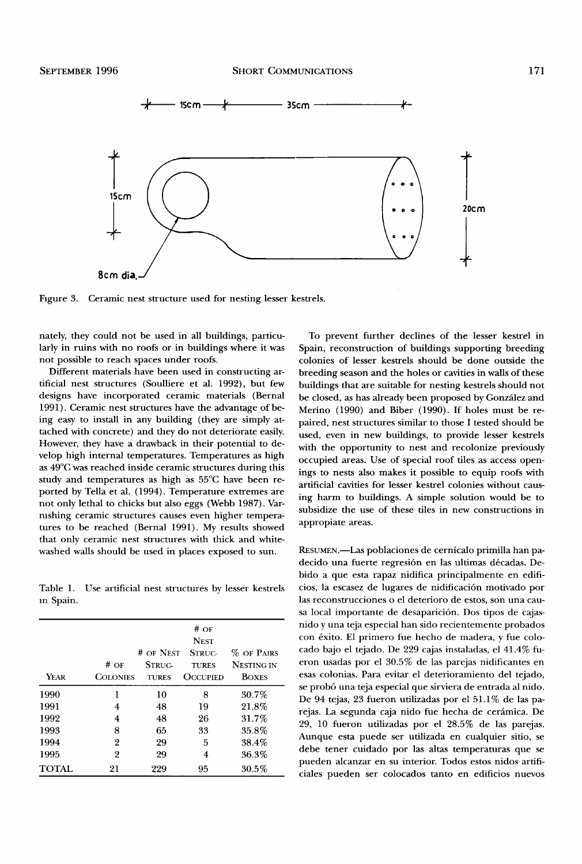

**F•gure 3. Ceramic nest structure used for nesting lesser kestrels.** 

**nately, they could not be used in all buildings, particularly in ruins with no roofs or in buildings where it was not possible to reach spaces under roofs.** 

**Different materials have been used in constructing artificial nest structures (Soulliere et al. 1992), but few designs have incorporated ceramic materials (Bernal 1991). Ceramic nest structures have the advantage of being easy to install in any building (they are simply attached with concrete) and they do not deteriorate easily. However, they have a drawback in their potential to develop high internal temperatures. Temperatures as high as 49øC was reached inside ceramic structures during this**  study and temperatures as high as 55°C have been re**ported by Tella et al. (1994). Temperature extremes are not only lethal to chicks but also eggs (Webb 1987). Varrushing ceramic structures causes even higher temperatures to be reached (Bernal 1991). My results showed that only ceramic nest structures with thick and whitewashed walls should be used in places exposed to sun.** 

**Table 1. Use artificial nest structures by lesser kestrels •n Spain.** 

| YEAR   | #OF<br><b>COLONIES</b> | # OF NEST<br><b>STRUC-</b><br><b>TURES</b> | #OF<br><b>NEST</b><br>STRUC-<br><b>TURES</b><br><b>OCCUPIED</b> | % OF PAIRS<br>NESTING IN<br><b>BOXES</b> |
|--------|------------------------|--------------------------------------------|-----------------------------------------------------------------|------------------------------------------|
| 1990   | 1                      | 10                                         | 8                                                               | 30.7%                                    |
| 1991   | 4                      | 48                                         | 19                                                              | 21.8%                                    |
| 1992   | 4                      | 48                                         | 26                                                              | 31.7%                                    |
| 1993   | 8                      | 65                                         | 33                                                              | 35.8%                                    |
| 1994   | $\overline{2}$         | 29                                         | 5                                                               | 38.4%                                    |
| 1995   | 2                      | 29                                         | 4                                                               | 36.3%                                    |
| TOTAL. | 21                     | 999                                        | 95                                                              | 30.5%                                    |

**To prevent further declines of the lesser kestrel in Spain, reconstruction of buildings supporting breeding colonies of lesser kestrels should be done outside the breeding season and the holes or cavities in walls of these buildings that are suitable for nesting kestrels should not**  be closed, as has already been proposed by González and **Merino (1990) and Biber (1990). If holes must be repaired, nest structures similar to those I tested should be used, even in new buildings, to provide lesser kestrels with the opportunity to nest and recolonize previously occupied areas. Use of special roof tiles as access openings to nests also makes it possible to equip roofs with artificial cavities for lesser kestrel colonies without causing harm to buildings. A simple solution would be to subsidize the use of these tiles in new constructions in appropiate areas.** 

**RESUMEN.--Las poblaciones de cernicalo primilla han pa**decido una fuerte regresión en las ultimas décadas. Debido a que esta rapaz nidifica principalmente en edifi**cios, la escasez de lugares de nidificaci6n motivado por las reconstrucciones o el deterioro de estos, son una cau**sa local importante de desaparición. Dos tipos de cajas**nido y una teja especial han sido recientemente probados**  con éxito. El primero fue hecho de madera, y fue colo**cado bajo el tejado. De 229 cajas instaladas, el 41.4% fueron usadas por el 30.5% de las parejas nidificantes en esas colonias. Para evitar el deterioramiento del tejado, se prob6 una teja especial que sirviera de entrada al nido. De 94 tejas, 23 fueron utilizadas por el 51.1% de las pa**rejas. La segunda caja nido fue hecha de cerámica. De **29, 10 fueron utilizadas por el 28.5% de las parejas. Aunque esta puede ser utilizada en cualquier sitio, se**  debe tener cuidado por las altas temperaturas que se **pueden alcanzar en su interior. Todos estos nidos artificiales pueden set colocados tanto en edificios nuevos**